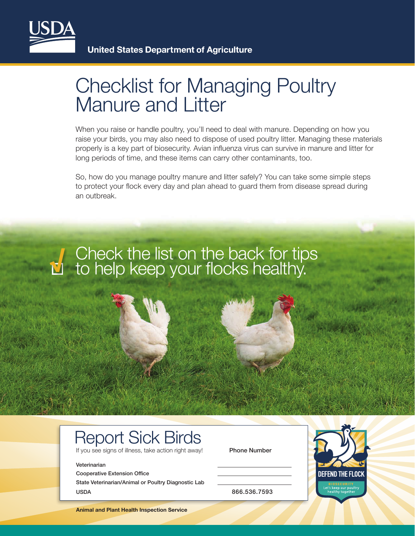

## Checklist for Managing Poultry Manure and Litter

When you raise or handle poultry, you'll need to deal with manure. Depending on how you raise your birds, you may also need to dispose of used poultry litter. Managing these materials properly is a key part of biosecurity. Avian influenza virus can survive in manure and litter for long periods of time, and these items can carry other contaminants, too.

So, how do you manage poultry manure and litter safely? You can take some simple steps to protect your flock every day and plan ahead to guard them from disease spread during an outbreak.

# Check the list on the back for tips to help keep your flocks healthy. **√**

### Report Sick Birds

If you see signs of illness, take action right away! Phone Number

#### Veterinarian

Cooperative Extension Office State Veterinarian/Animal or Poultry Diagnostic Lab USDA 866.536.7593



**Animal and Plant Health Inspection Service**